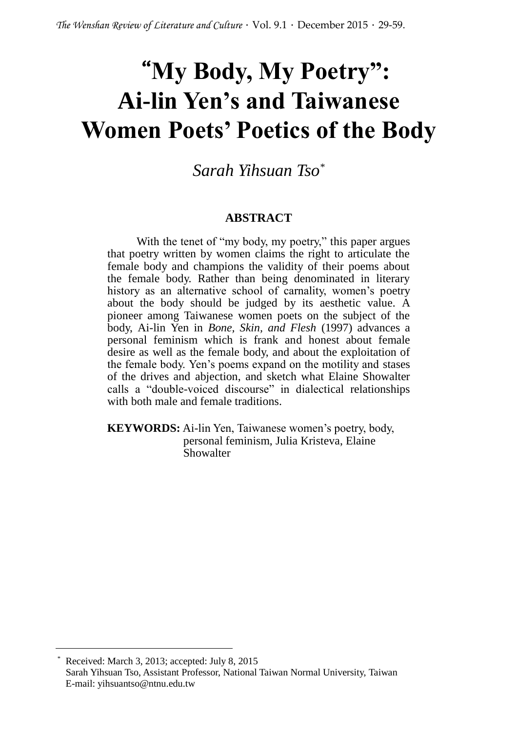# "**My Body, My Poetry": Ai-lin Yen's and Taiwanese Women Poets' Poetics of the Body**

*Sarah Yihsuan Tso\**

#### **ABSTRACT**

With the tenet of "my body, my poetry," this paper argues that poetry written by women claims the right to articulate the female body and champions the validity of their poems about the female body. Rather than being denominated in literary history as an alternative school of carnality, women's poetry about the body should be judged by its aesthetic value. A pioneer among Taiwanese women poets on the subject of the body, Ai-lin Yen in *Bone, Skin, and Flesh* (1997) advances a personal feminism which is frank and honest about female desire as well as the female body, and about the exploitation of the female body. Yen's poems expand on the motility and stases of the drives and abjection, and sketch what Elaine Showalter calls a "double-voiced discourse" in dialectical relationships with both male and female traditions.

**KEYWORDS:** Ai-lin Yen, Taiwanese women's poetry, body, personal feminism, Julia Kristeva, Elaine Showalter

Received: March 3, 2013; accepted: July 8, 2015 Sarah Yihsuan Tso, Assistant Professor, National Taiwan Normal University, Taiwan E-mail: yihsuantso@ntnu.edu.tw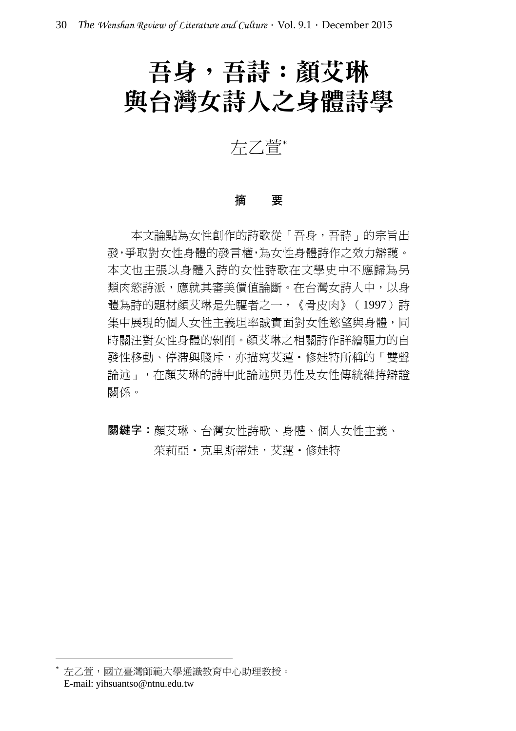# 吾身,吾詩︰顏艾琳 與台灣女詩人之身體詩學

左乙萱\*

#### 摘 要

本文論點為女性創作的詩歌從「吾身,吾詩」的宗旨出 發,爭取對女性身體的發言權,為女性身體詩作之效力辯護。 本文也主張以身體入詩的女性詩歌在文學史中不應歸為另 類肉慾詩派,應就其審美價值論斷。在台灣女詩人中,以身 體為詩的題材顏艾琳是先驅者之一,《骨皮肉》(1997)詩 集中展現的個人女性主義坦率誠實面對女性慾望與身體,同 時關注對女性身體的剝削。顏艾琳之相關詩作詳繪驅力的自 發性移動、停滯與賤斥,亦描寫艾蓮·修娃特所稱的「雙聲 論述」,在顏艾琳的詩中此論述與男性及女性傳統維持辯證 關係。

**關鍵字:**顏艾琳、台灣女性詩歌、身體、個人女性主義、 茱莉亞‧克里斯蒂娃,艾蓮‧修娃特

<sup>\*</sup> 左乙萱,國立臺灣師範大學通識教育中心助理教授。 E-mail: yihsuantso@ntnu.edu.tw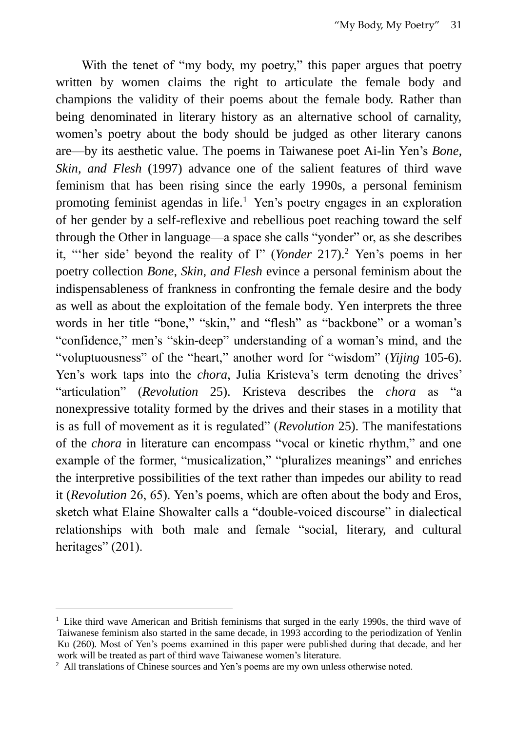With the tenet of "my body, my poetry," this paper argues that poetry written by women claims the right to articulate the female body and champions the validity of their poems about the female body. Rather than being denominated in literary history as an alternative school of carnality, women's poetry about the body should be judged as other literary canons are—by its aesthetic value. The poems in Taiwanese poet Ai-lin Yen's *Bone, Skin, and Flesh* (1997) advance one of the salient features of third wave feminism that has been rising since the early 1990s, a personal feminism promoting feminist agendas in life.<sup>1</sup> Yen's poetry engages in an exploration of her gender by a self-reflexive and rebellious poet reaching toward the self through the Other in language—a space she calls "yonder" or, as she describes it, "'her side' beyond the reality of I" (*Yonder* 217).<sup>2</sup> Yen's poems in her poetry collection *Bone, Skin, and Flesh* evince a personal feminism about the indispensableness of frankness in confronting the female desire and the body as well as about the exploitation of the female body. Yen interprets the three words in her title "bone," "skin," and "flesh" as "backbone" or a woman's "confidence," men's "skin-deep" understanding of a woman's mind, and the "voluptuousness" of the "heart," another word for "wisdom" (*Yijing* 105-6). Yen's work taps into the *chora*, Julia Kristeva's term denoting the drives' "articulation" (*Revolution* 25). Kristeva describes the *chora* as "a nonexpressive totality formed by the drives and their stases in a motility that is as full of movement as it is regulated" (*Revolution* 25). The manifestations of the *chora* in literature can encompass "vocal or kinetic rhythm," and one example of the former, "musicalization," "pluralizes meanings" and enriches the interpretive possibilities of the text rather than impedes our ability to read it (*Revolution* 26, 65). Yen's poems, which are often about the body and Eros, sketch what Elaine Showalter calls a "double-voiced discourse" in dialectical relationships with both male and female "social, literary, and cultural heritages" (201).

<sup>&</sup>lt;sup>1</sup> Like third wave American and British feminisms that surged in the early 1990s, the third wave of Taiwanese feminism also started in the same decade, in 1993 according to the periodization of Yenlin Ku (260)*.* Most of Yen's poems examined in this paper were published during that decade, and her work will be treated as part of third wave Taiwanese women's literature.

<sup>&</sup>lt;sup>2</sup> All translations of Chinese sources and Yen's poems are my own unless otherwise noted.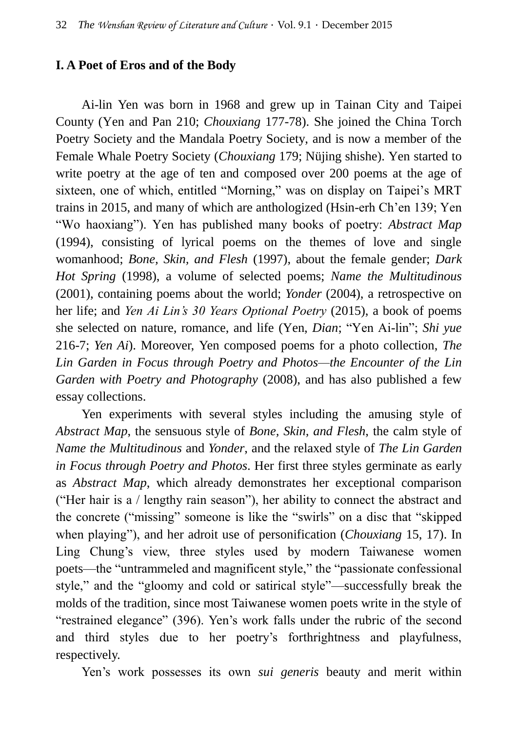## **I. A Poet of Eros and of the Body**

Ai-lin Yen was born in 1968 and grew up in Tainan City and Taipei County (Yen and Pan 210; *Chouxiang* 177-78). She joined the China Torch Poetry Society and the Mandala Poetry Society, and is now a member of the Female Whale Poetry Society (*Chouxiang* 179; Nüjing shishe). Yen started to write poetry at the age of ten and composed over 200 poems at the age of sixteen, one of which, entitled "Morning," was on display on Taipei's MRT trains in 2015, and many of which are anthologized (Hsin-erh Ch'en 139; Yen "Wo haoxiang"). Yen has published many books of poetry: *Abstract Map* (1994), consisting of lyrical poems on the themes of love and single womanhood; *Bone, Skin, and Flesh* (1997), about the female gender; *Dark Hot Spring* (1998), a volume of selected poems; *Name the Multitudinous* (2001), containing poems about the world; *Yonder* (2004), a retrospective on her life; and *Yen Ai Lin's 30 Years Optional Poetry* (2015), a book of poems she selected on nature, romance, and life (Yen, *Dian*; "Yen Ai-lin"; *Shi yue* 216-7; *Yen Ai*). Moreover, Yen composed poems for a photo collection, *The Lin Garden in Focus through Poetry and Photos—the Encounter of the Lin Garden with Poetry and Photography* (2008), and has also published a few essay collections.

Yen experiments with several styles including the amusing style of *Abstract Map*, the sensuous style of *Bone, Skin, and Flesh*, the calm style of *Name the Multitudinous* and *Yonder*, and the relaxed style of *The Lin Garden in Focus through Poetry and Photos*. Her first three styles germinate as early as *Abstract Map*, which already demonstrates her exceptional comparison ("Her hair is a / lengthy rain season"), her ability to connect the abstract and the concrete ("missing" someone is like the "swirls" on a disc that "skipped when playing"), and her adroit use of personification (*Chouxiang* 15, 17). In Ling Chung's view, three styles used by modern Taiwanese women poets—the "untrammeled and magnificent style," the "passionate confessional style," and the "gloomy and cold or satirical style"—successfully break the molds of the tradition, since most Taiwanese women poets write in the style of "restrained elegance" (396). Yen's work falls under the rubric of the second and third styles due to her poetry's forthrightness and playfulness, respectively.

Yen's work possesses its own *sui generis* beauty and merit within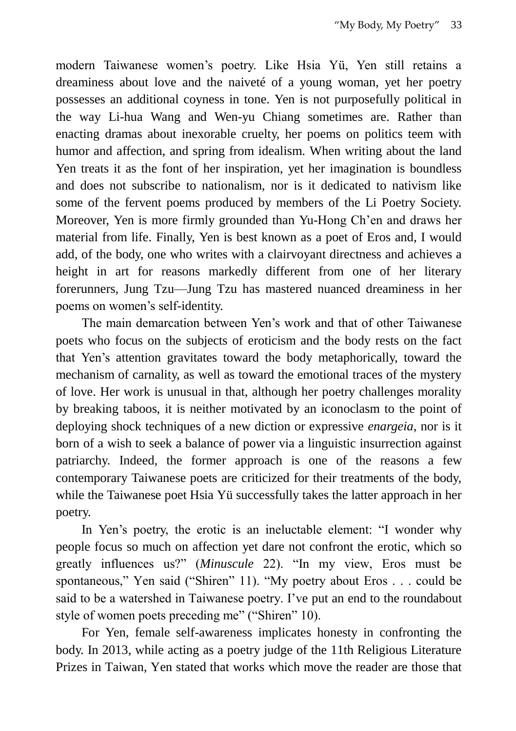modern Taiwanese women's poetry. Like Hsia Yü, Yen still retains a dreaminess about love and the naiveté of a young woman, yet her poetry possesses an additional coyness in tone. Yen is not purposefully political in the way Li-hua Wang and Wen-yu Chiang sometimes are. Rather than enacting dramas about inexorable cruelty, her poems on politics teem with humor and affection, and spring from idealism. When writing about the land Yen treats it as the font of her inspiration, yet her imagination is boundless and does not subscribe to nationalism, nor is it dedicated to nativism like some of the fervent poems produced by members of the Li Poetry Society. Moreover, Yen is more firmly grounded than Yu-Hong Ch'en and draws her material from life. Finally, Yen is best known as a poet of Eros and, I would add, of the body, one who writes with a clairvoyant directness and achieves a height in art for reasons markedly different from one of her literary forerunners, Jung Tzu—Jung Tzu has mastered nuanced dreaminess in her poems on women's self-identity.

The main demarcation between Yen's work and that of other Taiwanese poets who focus on the subjects of eroticism and the body rests on the fact that Yen's attention gravitates toward the body metaphorically, toward the mechanism of carnality, as well as toward the emotional traces of the mystery of love. Her work is unusual in that, although her poetry challenges morality by breaking taboos, it is neither motivated by an iconoclasm to the point of deploying shock techniques of a new diction or expressive *enargeia*, nor is it born of a wish to seek a balance of power via a linguistic insurrection against patriarchy. Indeed, the former approach is one of the reasons a few contemporary Taiwanese poets are criticized for their treatments of the body, while the Taiwanese poet Hsia Yü successfully takes the latter approach in her poetry.

In Yen's poetry, the erotic is an ineluctable element: "I wonder why people focus so much on affection yet dare not confront the erotic, which so greatly influences us?" (*Minuscule* 22). "In my view, Eros must be spontaneous," Yen said ("Shiren" 11). "My poetry about Eros . . . could be said to be a watershed in Taiwanese poetry. I've put an end to the roundabout style of women poets preceding me" ("Shiren" 10).

For Yen, female self-awareness implicates honesty in confronting the body. In 2013, while acting as a poetry judge of the 11th Religious Literature Prizes in Taiwan, Yen stated that works which move the reader are those that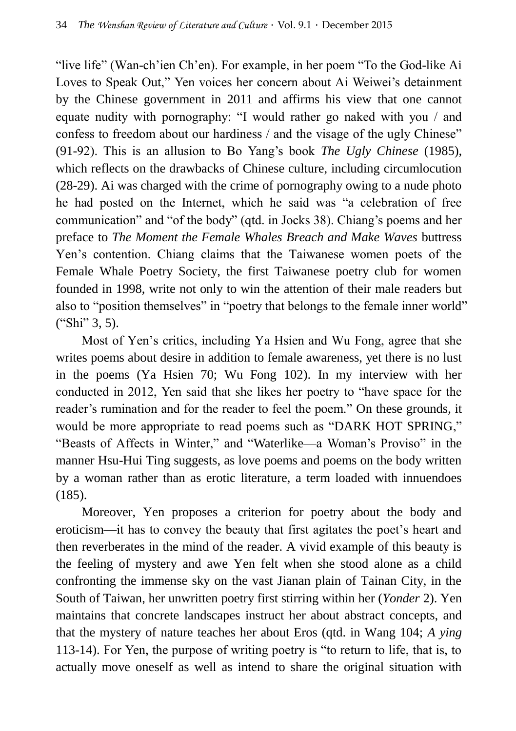"live life" (Wan-ch'ien Ch'en). For example, in her poem "To the God-like Ai Loves to Speak Out," Yen voices her concern about Ai Weiwei's detainment by the Chinese government in 2011 and affirms his view that one cannot equate nudity with pornography: "I would rather go naked with you / and confess to freedom about our hardiness / and the visage of the ugly Chinese" (91-92). This is an allusion to Bo Yang's book *The Ugly Chinese* (1985), which reflects on the drawbacks of Chinese culture, including circumlocution (28-29). Ai was charged with the crime of pornography owing to a nude photo he had posted on the Internet, which he said was "a celebration of free communication" and "of the body" (qtd. in Jocks 38). Chiang's poems and her preface to *The Moment the Female Whales Breach and Make Waves* buttress Yen's contention. Chiang claims that the Taiwanese women poets of the Female Whale Poetry Society, the first Taiwanese poetry club for women founded in 1998, write not only to win the attention of their male readers but also to "position themselves" in "poetry that belongs to the female inner world" ("Shi" 3, 5).

Most of Yen's critics, including Ya Hsien and Wu Fong, agree that she writes poems about desire in addition to female awareness, yet there is no lust in the poems (Ya Hsien 70; Wu Fong 102). In my interview with her conducted in 2012, Yen said that she likes her poetry to "have space for the reader's rumination and for the reader to feel the poem." On these grounds, it would be more appropriate to read poems such as "DARK HOT SPRING," "Beasts of Affects in Winter," and "Waterlike—a Woman's Proviso" in the manner Hsu-Hui Ting suggests, as love poems and poems on the body written by a woman rather than as erotic literature, a term loaded with innuendoes  $(185)$ .

Moreover, Yen proposes a criterion for poetry about the body and eroticism—it has to convey the beauty that first agitates the poet's heart and then reverberates in the mind of the reader. A vivid example of this beauty is the feeling of mystery and awe Yen felt when she stood alone as a child confronting the immense sky on the vast Jianan plain of Tainan City, in the South of Taiwan, her unwritten poetry first stirring within her (*Yonder* 2). Yen maintains that concrete landscapes instruct her about abstract concepts, and that the mystery of nature teaches her about Eros (qtd. in Wang 104; *A ying* 113-14). For Yen, the purpose of writing poetry is "to return to life, that is, to actually move oneself as well as intend to share the original situation with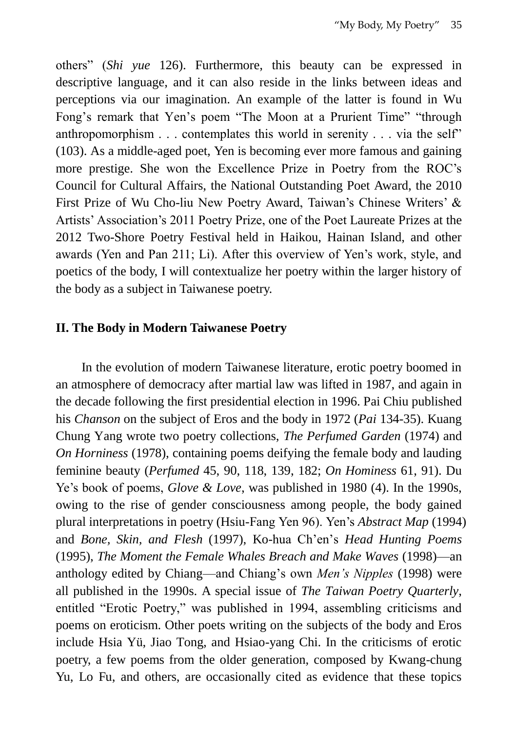others" (*Shi yue* 126). Furthermore, this beauty can be expressed in descriptive language, and it can also reside in the links between ideas and perceptions via our imagination. An example of the latter is found in Wu Fong's remark that Yen's poem "The Moon at a Prurient Time" "through anthropomorphism . . . contemplates this world in serenity . . . via the self" (103). As a middle-aged poet, Yen is becoming ever more famous and gaining more prestige. She won the Excellence Prize in Poetry from the ROC's Council for Cultural Affairs, the National Outstanding Poet Award, the 2010 First Prize of Wu Cho-liu New Poetry Award, Taiwan's Chinese Writers' & Artists' Association's 2011 Poetry Prize, one of the Poet Laureate Prizes at the 2012 Two-Shore Poetry Festival held in Haikou, Hainan Island, and other awards (Yen and Pan 211; Li). After this overview of Yen's work, style, and poetics of the body, I will contextualize her poetry within the larger history of the body as a subject in Taiwanese poetry.

#### **II. The Body in Modern Taiwanese Poetry**

In the evolution of modern Taiwanese literature, erotic poetry boomed in an atmosphere of democracy after martial law was lifted in 1987, and again in the decade following the first presidential election in 1996. Pai Chiu published his *Chanson* on the subject of Eros and the body in 1972 (*Pai* 134-35). Kuang Chung Yang wrote two poetry collections, *The Perfumed Garden* (1974) and *On Horniness* (1978), containing poems deifying the female body and lauding feminine beauty (*Perfumed* 45, 90, 118, 139, 182; *On Hominess* 61, 91). Du Ye's book of poems, *Glove & Love*, was published in 1980 (4). In the 1990s, owing to the rise of gender consciousness among people, the body gained plural interpretations in poetry (Hsiu-Fang Yen 96). Yen's *Abstract Map* (1994) and *Bone, Skin, and Flesh* (1997), Ko-hua Ch'en's *Head Hunting Poems*  (1995), *The Moment the Female Whales Breach and Make Waves* (1998)—an anthology edited by Chiang—and Chiang's own *Men's Nipples* (1998) were all published in the 1990s. A special issue of *The Taiwan Poetry Quarterly*, entitled "Erotic Poetry," was published in 1994, assembling criticisms and poems on eroticism. Other poets writing on the subjects of the body and Eros include Hsia Yü, Jiao Tong, and Hsiao-yang Chi. In the criticisms of erotic poetry, a few poems from the older generation, composed by Kwang-chung Yu, Lo Fu, and others, are occasionally cited as evidence that these topics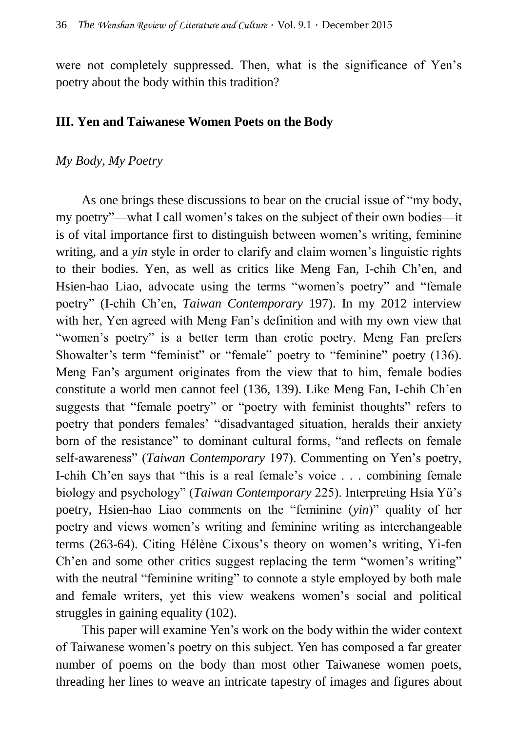were not completely suppressed. Then, what is the significance of Yen's poetry about the body within this tradition?

### **III. Yen and Taiwanese Women Poets on the Body**

#### *My Body, My Poetry*

As one brings these discussions to bear on the crucial issue of "my body, my poetry"—what I call women's takes on the subject of their own bodies—it is of vital importance first to distinguish between women's writing, feminine writing, and a *yin* style in order to clarify and claim women's linguistic rights to their bodies. Yen, as well as critics like Meng Fan, I-chih Ch'en, and Hsien-hao Liao, advocate using the terms "women's poetry" and "female poetry" (I-chih Ch'en, *Taiwan Contemporary* 197). In my 2012 interview with her, Yen agreed with Meng Fan's definition and with my own view that "women's poetry" is a better term than erotic poetry. Meng Fan prefers Showalter's term "feminist" or "female" poetry to "feminine" poetry (136). Meng Fan's argument originates from the view that to him, female bodies constitute a world men cannot feel (136, 139). Like Meng Fan, I-chih Ch'en suggests that "female poetry" or "poetry with feminist thoughts" refers to poetry that ponders females' "disadvantaged situation, heralds their anxiety born of the resistance" to dominant cultural forms, "and reflects on female self-awareness" (*Taiwan Contemporary* 197). Commenting on Yen's poetry, I-chih Ch'en says that "this is a real female's voice . . . combining female biology and psychology" (*Taiwan Contemporary* 225). Interpreting Hsia Yü's poetry, Hsien-hao Liao comments on the "feminine (*yin*)" quality of her poetry and views women's writing and feminine writing as interchangeable terms (263-64). Citing Hélène Cixous's theory on women's writing, Yi-fen Ch'en and some other critics suggest replacing the term "women's writing" with the neutral "feminine writing" to connote a style employed by both male and female writers, yet this view weakens women's social and political struggles in gaining equality (102).

This paper will examine Yen's work on the body within the wider context of Taiwanese women's poetry on this subject. Yen has composed a far greater number of poems on the body than most other Taiwanese women poets, threading her lines to weave an intricate tapestry of images and figures about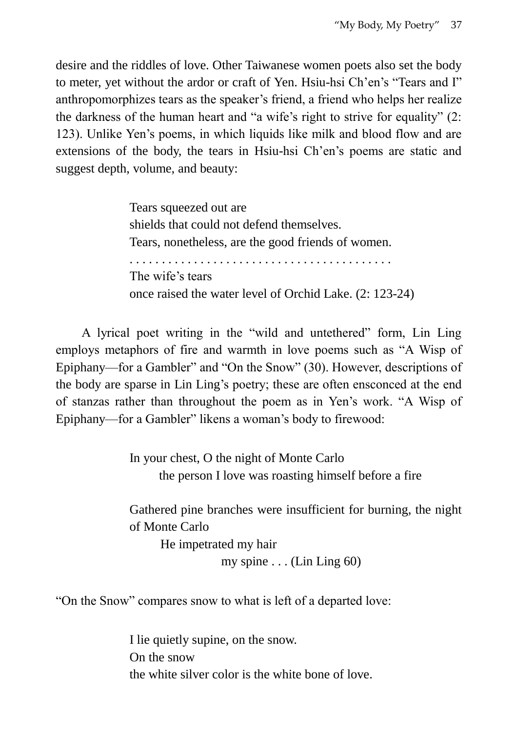desire and the riddles of love. Other Taiwanese women poets also set the body to meter, yet without the ardor or craft of Yen. Hsiu-hsi Ch'en's "Tears and I" anthropomorphizes tears as the speaker's friend, a friend who helps her realize the darkness of the human heart and "a wife's right to strive for equality" (2: 123). Unlike Yen's poems, in which liquids like milk and blood flow and are extensions of the body, the tears in Hsiu-hsi Ch'en's poems are static and suggest depth, volume, and beauty:

> Tears squeezed out are shields that could not defend themselves. Tears, nonetheless, are the good friends of women. . . . . . . . . . . . . . . . . . . . . . . . . . . . . . . . . . . . . . . . . . The wife's tears once raised the water level of Orchid Lake. (2: 123-24)

A lyrical poet writing in the "wild and untethered" form, Lin Ling employs metaphors of fire and warmth in love poems such as "A Wisp of Epiphany—for a Gambler" and "On the Snow" (30). However, descriptions of the body are sparse in Lin Ling's poetry; these are often ensconced at the end of stanzas rather than throughout the poem as in Yen's work. "A Wisp of Epiphany—for a Gambler" likens a woman's body to firewood:

> In your chest, O the night of Monte Carlo the person I love was roasting himself before a fire

Gathered pine branches were insufficient for burning, the night of Monte Carlo

He impetrated my hair my spine  $\dots$  (Lin Ling 60)

"On the Snow" compares snow to what is left of a departed love:

I lie quietly supine, on the snow. On the snow the white silver color is the white bone of love.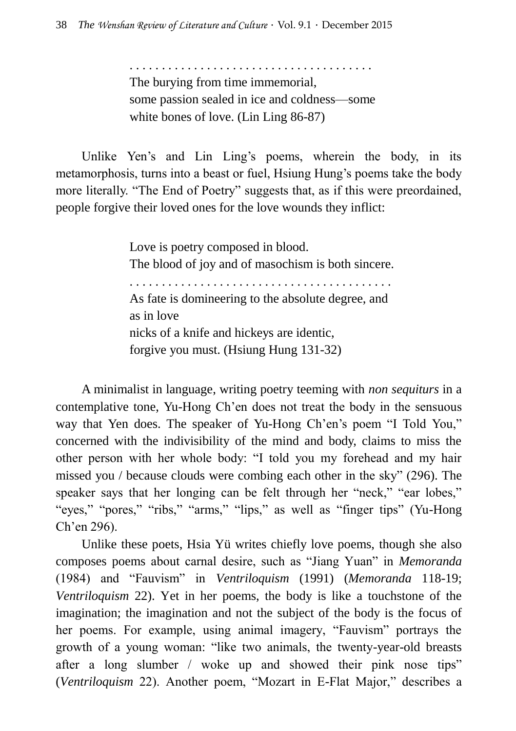. . . . . . . . . . . . . . . . . . . . . . . . . . . . . . . . . . . . . . The burying from time immemorial, some passion sealed in ice and coldness—some white bones of love. (Lin Ling 86-87)

Unlike Yen's and Lin Ling's poems, wherein the body, in its metamorphosis, turns into a beast or fuel, Hsiung Hung's poems take the body more literally. "The End of Poetry" suggests that, as if this were preordained, people forgive their loved ones for the love wounds they inflict:

> Love is poetry composed in blood. The blood of joy and of masochism is both sincere. . . . . . . . . . . . . . . . . . . . . . . . . . . . . . . . . . . . . . . . . . As fate is domineering to the absolute degree, and as in love nicks of a knife and hickeys are identic, forgive you must. (Hsiung Hung 131-32)

A minimalist in language, writing poetry teeming with *non sequiturs* in a contemplative tone, Yu-Hong Ch'en does not treat the body in the sensuous way that Yen does. The speaker of Yu-Hong Ch'en's poem "I Told You," concerned with the indivisibility of the mind and body, claims to miss the other person with her whole body: "I told you my forehead and my hair missed you / because clouds were combing each other in the sky" (296). The speaker says that her longing can be felt through her "neck," "ear lobes," "eyes," "pores," "ribs," "arms," "lips," as well as "finger tips" (Yu-Hong Ch'en 296).

Unlike these poets, Hsia Yü writes chiefly love poems, though she also composes poems about carnal desire, such as "Jiang Yuan" in *Memoranda* (1984) and "Fauvism" in *Ventriloquism* (1991) (*Memoranda* 118-19; *Ventriloquism* 22). Yet in her poems, the body is like a touchstone of the imagination; the imagination and not the subject of the body is the focus of her poems. For example, using animal imagery, "Fauvism" portrays the growth of a young woman: "like two animals, the twenty-year-old breasts after a long slumber / woke up and showed their pink nose tips" (*Ventriloquism* 22). Another poem, "Mozart in E-Flat Major," describes a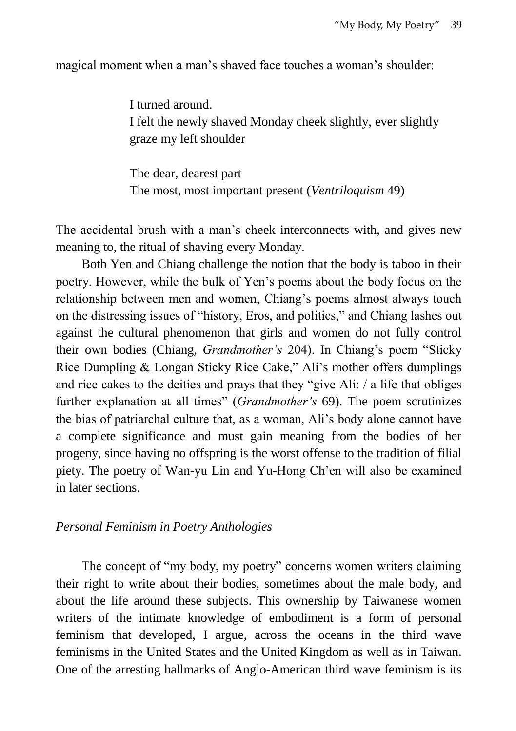magical moment when a man's shaved face touches a woman's shoulder:

I turned around. I felt the newly shaved Monday cheek slightly, ever slightly graze my left shoulder

The dear, dearest part The most, most important present (*Ventriloquism* 49)

The accidental brush with a man's cheek interconnects with, and gives new meaning to, the ritual of shaving every Monday.

Both Yen and Chiang challenge the notion that the body is taboo in their poetry. However, while the bulk of Yen's poems about the body focus on the relationship between men and women, Chiang's poems almost always touch on the distressing issues of "history, Eros, and politics," and Chiang lashes out against the cultural phenomenon that girls and women do not fully control their own bodies (Chiang, *Grandmother's* 204). In Chiang's poem "Sticky Rice Dumpling & Longan Sticky Rice Cake," Ali's mother offers dumplings and rice cakes to the deities and prays that they "give Ali: / a life that obliges further explanation at all times" (*Grandmother's* 69). The poem scrutinizes the bias of patriarchal culture that, as a woman, Ali's body alone cannot have a complete significance and must gain meaning from the bodies of her progeny, since having no offspring is the worst offense to the tradition of filial piety. The poetry of Wan-yu Lin and Yu-Hong Ch'en will also be examined in later sections.

#### *Personal Feminism in Poetry Anthologies*

The concept of "my body, my poetry" concerns women writers claiming their right to write about their bodies, sometimes about the male body, and about the life around these subjects. This ownership by Taiwanese women writers of the intimate knowledge of embodiment is a form of personal feminism that developed, I argue, across the oceans in the third wave feminisms in the United States and the United Kingdom as well as in Taiwan. One of the arresting hallmarks of Anglo-American third wave feminism is its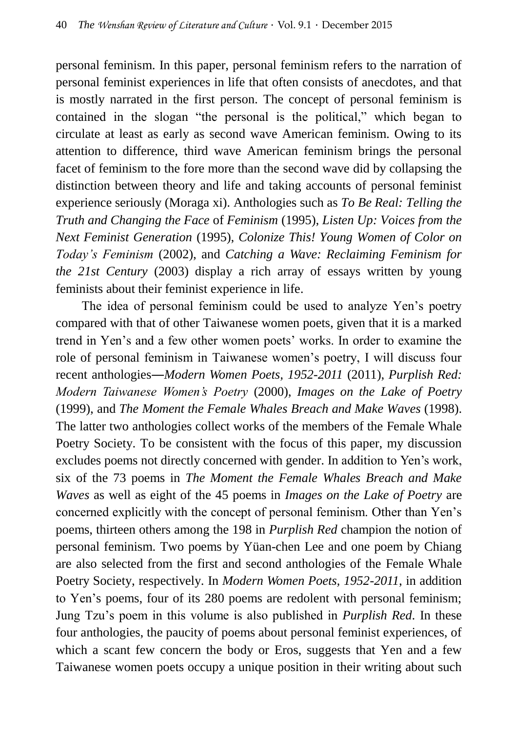personal feminism. In this paper, personal feminism refers to the narration of personal feminist experiences in life that often consists of anecdotes, and that is mostly narrated in the first person. The concept of personal feminism is contained in the slogan "the personal is the political," which began to circulate at least as early as second wave American feminism. Owing to its attention to difference, third wave American feminism brings the personal facet of feminism to the fore more than the second wave did by collapsing the distinction between theory and life and taking accounts of personal feminist experience seriously (Moraga xi). Anthologies such as *To Be Real: Telling the Truth and Changing the Face* of *Feminism* (1995), *Listen Up: Voices from the Next Feminist Generation* (1995), *Colonize This! Young Women of Color on Today's Feminism* (2002), and *Catching a Wave: Reclaiming Feminism for the 21st Century* (2003) display a rich array of essays written by young feminists about their feminist experience in life.

The idea of personal feminism could be used to analyze Yen's poetry compared with that of other Taiwanese women poets, given that it is a marked trend in Yen's and a few other women poets' works. In order to examine the role of personal feminism in Taiwanese women's poetry, I will discuss four recent anthologies―*Modern Women Poets, 1952-2011* (2011), *Purplish Red: Modern Taiwanese Women's Poetry* (2000), *Images on the Lake of Poetry* (1999), and *The Moment the Female Whales Breach and Make Waves* (1998). The latter two anthologies collect works of the members of the Female Whale Poetry Society. To be consistent with the focus of this paper, my discussion excludes poems not directly concerned with gender. In addition to Yen's work, six of the 73 poems in *The Moment the Female Whales Breach and Make Waves* as well as eight of the 45 poems in *Images on the Lake of Poetry* are concerned explicitly with the concept of personal feminism. Other than Yen's poems, thirteen others among the 198 in *Purplish Red* champion the notion of personal feminism. Two poems by Yüan-chen Lee and one poem by Chiang are also selected from the first and second anthologies of the Female Whale Poetry Society, respectively. In *Modern Women Poets, 1952-2011*, in addition to Yen's poems, four of its 280 poems are redolent with personal feminism; Jung Tzu's poem in this volume is also published in *Purplish Red*. In these four anthologies, the paucity of poems about personal feminist experiences, of which a scant few concern the body or Eros, suggests that Yen and a few Taiwanese women poets occupy a unique position in their writing about such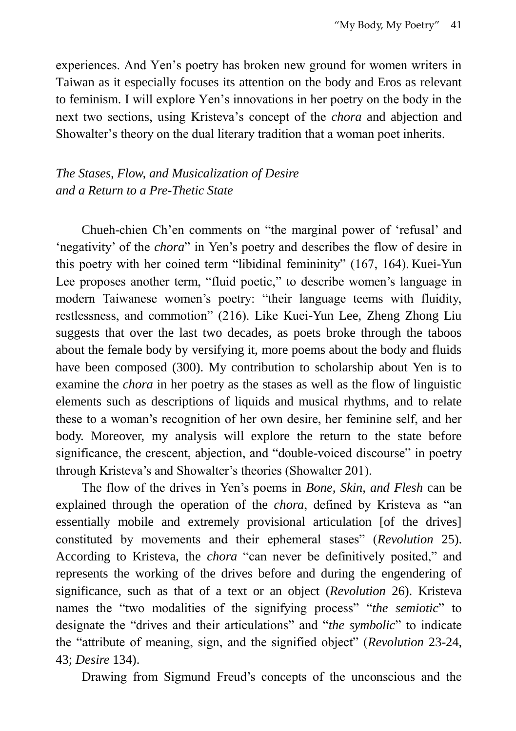experiences. And Yen's poetry has broken new ground for women writers in Taiwan as it especially focuses its attention on the body and Eros as relevant to feminism. I will explore Yen's innovations in her poetry on the body in the next two sections, using Kristeva's concept of the *chora* and abjection and Showalter's theory on the dual literary tradition that a woman poet inherits.

# *The Stases, Flow, and Musicalization of Desire and a Return to a Pre-Thetic State*

Chueh-chien Ch'en comments on "the marginal power of 'refusal' and 'negativity' of the *chora*" in Yen's poetry and describes the flow of desire in this poetry with her coined term "libidinal femininity" (167, 164). Kuei-Yun Lee proposes another term, "fluid poetic," to describe women's language in modern Taiwanese women's poetry: "their language teems with fluidity, restlessness, and commotion" (216). Like Kuei-Yun Lee, Zheng Zhong Liu suggests that over the last two decades, as poets broke through the taboos about the female body by versifying it, more poems about the body and fluids have been composed (300). My contribution to scholarship about Yen is to examine the *chora* in her poetry as the stases as well as the flow of linguistic elements such as descriptions of liquids and musical rhythms, and to relate these to a woman's recognition of her own desire, her feminine self, and her body. Moreover, my analysis will explore the return to the state before significance, the crescent, abjection, and "double-voiced discourse" in poetry through Kristeva's and Showalter's theories (Showalter 201).

The flow of the drives in Yen's poems in *Bone, Skin, and Flesh* can be explained through the operation of the *chora*, defined by Kristeva as "an essentially mobile and extremely provisional articulation [of the drives] constituted by movements and their ephemeral stases" (*Revolution* 25). According to Kristeva, the *chora* "can never be definitively posited," and represents the working of the drives before and during the engendering of significance, such as that of a text or an object (*Revolution* 26). Kristeva names the "two modalities of the signifying process" "*the semiotic*" to designate the "drives and their articulations" and "*the symbolic*" to indicate the "attribute of meaning, sign, and the signified object" (*Revolution* 23-24, 43; *Desire* 134).

Drawing from Sigmund Freud's concepts of the unconscious and the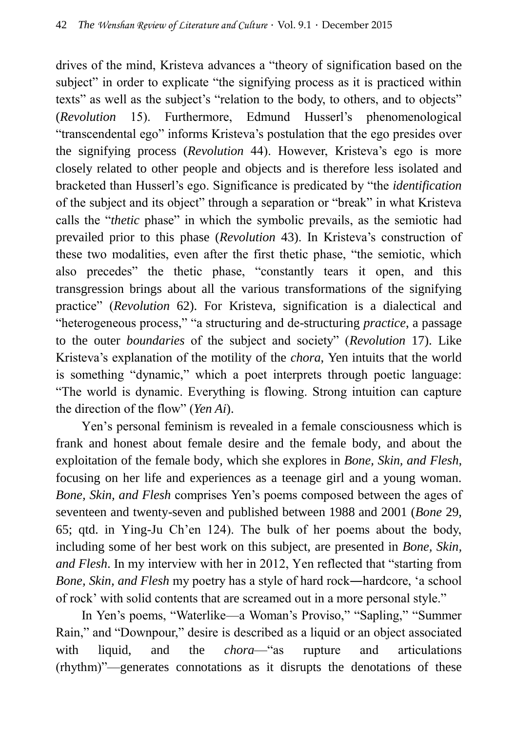drives of the mind, Kristeva advances a "theory of signification based on the subject" in order to explicate "the signifying process as it is practiced within texts" as well as the subject's "relation to the body, to others, and to objects" (*Revolution* 15). Furthermore, Edmund Husserl's phenomenological "transcendental ego" informs Kristeva's postulation that the ego presides over the signifying process (*Revolution* 44). However, Kristeva's ego is more closely related to other people and objects and is therefore less isolated and bracketed than Husserl's ego. Significance is predicated by "the *identification* of the subject and its object" through a separation or "break" in what Kristeva calls the "*thetic* phase" in which the symbolic prevails, as the semiotic had prevailed prior to this phase (*Revolution* 43). In Kristeva's construction of these two modalities, even after the first thetic phase, "the semiotic, which also precedes" the thetic phase, "constantly tears it open, and this transgression brings about all the various transformations of the signifying practice" (*Revolution* 62). For Kristeva, signification is a dialectical and "heterogeneous process," "a structuring and de-structuring *practice*, a passage to the outer *boundaries* of the subject and society" (*Revolution* 17). Like Kristeva's explanation of the motility of the *chora*, Yen intuits that the world is something "dynamic," which a poet interprets through poetic language: "The world is dynamic. Everything is flowing. Strong intuition can capture the direction of the flow" (*Yen Ai*).

Yen's personal feminism is revealed in a female consciousness which is frank and honest about female desire and the female body, and about the exploitation of the female body, which she explores in *Bone, Skin, and Flesh*, focusing on her life and experiences as a teenage girl and a young woman. *Bone, Skin, and Flesh* comprises Yen's poems composed between the ages of seventeen and twenty-seven and published between 1988 and 2001 (*Bone* 29, 65; qtd. in Ying-Ju Ch'en 124). The bulk of her poems about the body, including some of her best work on this subject, are presented in *Bone, Skin, and Flesh*. In my interview with her in 2012, Yen reflected that "starting from *Bone, Skin, and Flesh* my poetry has a style of hard rock―hardcore, 'a school of rock' with solid contents that are screamed out in a more personal style."

In Yen's poems, "Waterlike—a Woman's Proviso," "Sapling," "Summer Rain," and "Downpour," desire is described as a liquid or an object associated with liquid, and the *chora*—"as rupture and articulations (rhythm)"—generates connotations as it disrupts the denotations of these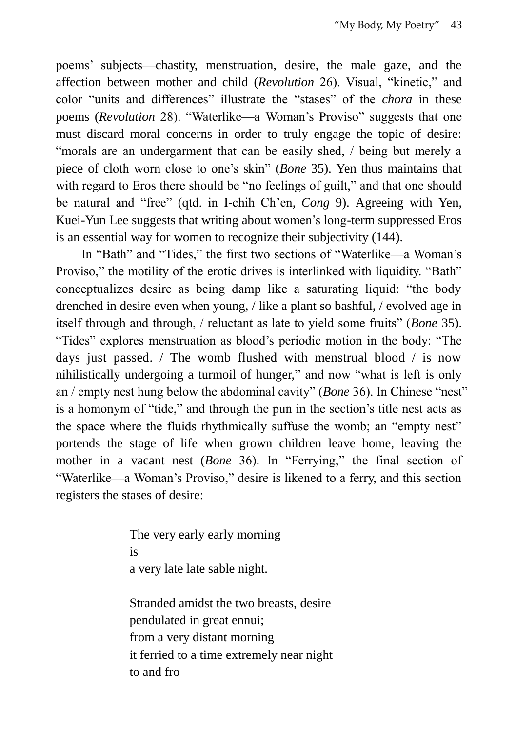poems' subjects—chastity, menstruation, desire, the male gaze, and the affection between mother and child (*Revolution* 26). Visual, "kinetic," and color "units and differences" illustrate the "stases" of the *chora* in these poems (*Revolution* 28). "Waterlike—a Woman's Proviso" suggests that one must discard moral concerns in order to truly engage the topic of desire: "morals are an undergarment that can be easily shed, / being but merely a piece of cloth worn close to one's skin" (*Bone* 35). Yen thus maintains that with regard to Eros there should be "no feelings of guilt," and that one should be natural and "free" (qtd. in I-chih Ch'en, *Cong* 9). Agreeing with Yen, Kuei-Yun Lee suggests that writing about women's long-term suppressed Eros is an essential way for women to recognize their subjectivity (144).

In "Bath" and "Tides," the first two sections of "Waterlike—a Woman's Proviso," the motility of the erotic drives is interlinked with liquidity. "Bath" conceptualizes desire as being damp like a saturating liquid: "the body drenched in desire even when young, / like a plant so bashful, / evolved age in itself through and through, / reluctant as late to yield some fruits" (*Bone* 35). "Tides" explores menstruation as blood's periodic motion in the body: "The days just passed. / The womb flushed with menstrual blood / is now nihilistically undergoing a turmoil of hunger," and now "what is left is only an / empty nest hung below the abdominal cavity" (*Bone* 36). In Chinese "nest" is a homonym of "tide," and through the pun in the section's title nest acts as the space where the fluids rhythmically suffuse the womb; an "empty nest" portends the stage of life when grown children leave home, leaving the mother in a vacant nest (*Bone* 36). In "Ferrying," the final section of "Waterlike—a Woman's Proviso," desire is likened to a ferry, and this section registers the stases of desire:

> The very early early morning is a very late late sable night.

Stranded amidst the two breasts, desire pendulated in great ennui; from a very distant morning it ferried to a time extremely near night to and fro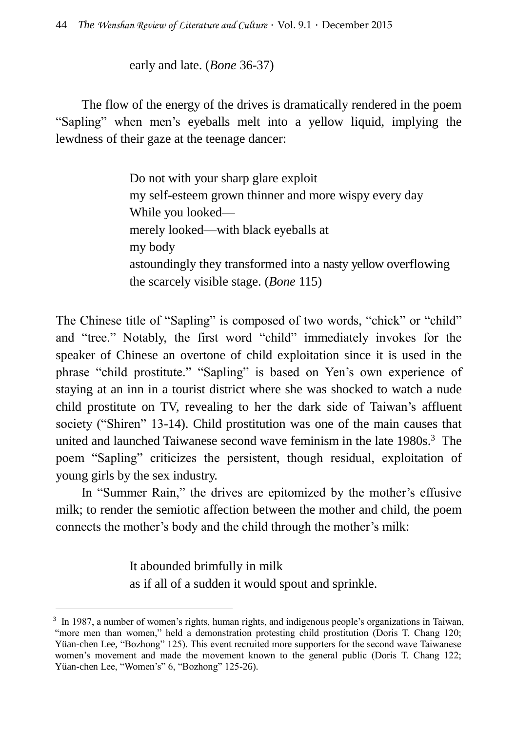early and late. (*Bone* 36-37)

The flow of the energy of the drives is dramatically rendered in the poem "Sapling" when men's eyeballs melt into a yellow liquid, implying the lewdness of their gaze at the teenage dancer:

> Do not with your sharp glare exploit my self-esteem grown thinner and more wispy every day While you looked merely looked—with black eyeballs at my body astoundingly they transformed into a nasty yellow overflowing the scarcely visible stage. (*Bone* 115)

The Chinese title of "Sapling" is composed of two words, "chick" or "child" and "tree." Notably, the first word "child" immediately invokes for the speaker of Chinese an overtone of child exploitation since it is used in the phrase "child prostitute." "Sapling" is based on Yen's own experience of staying at an inn in a tourist district where she was shocked to watch a nude child prostitute on TV, revealing to her the dark side of Taiwan's affluent society ("Shiren" 13-14). Child prostitution was one of the main causes that united and launched Taiwanese second wave feminism in the late 1980s.<sup>3</sup> The poem "Sapling" criticizes the persistent, though residual, exploitation of young girls by the sex industry.

In "Summer Rain," the drives are epitomized by the mother's effusive milk; to render the semiotic affection between the mother and child, the poem connects the mother's body and the child through the mother's milk:

> It abounded brimfully in milk as if all of a sudden it would spout and sprinkle.

 $\overline{a}$ 

<sup>&</sup>lt;sup>3</sup> In 1987, a number of women's rights, human rights, and indigenous people's organizations in Taiwan, "more men than women," held a demonstration protesting child prostitution (Doris T. Chang 120; Yüan-chen Lee, "Bozhong" 125). This event recruited more supporters for the second wave Taiwanese women's movement and made the movement known to the general public (Doris T. Chang 122; Yüan-chen Lee, "Women's" 6, "Bozhong" 125-26).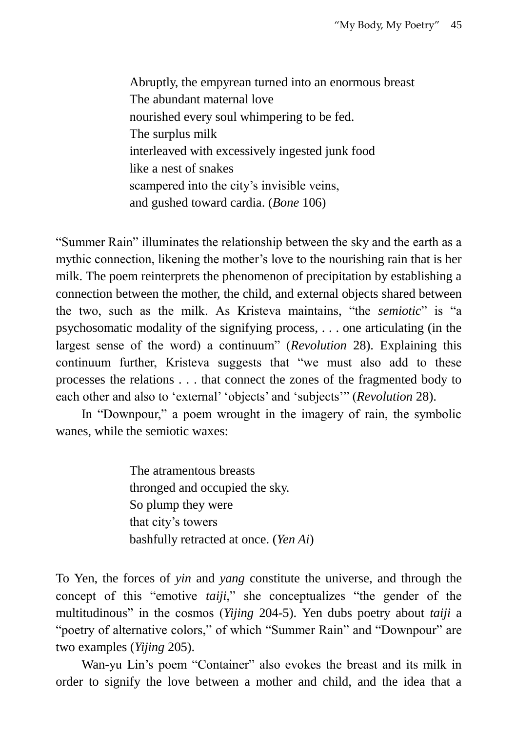Abruptly, the empyrean turned into an enormous breast The abundant maternal love nourished every soul whimpering to be fed. The surplus milk interleaved with excessively ingested junk food like a nest of snakes scampered into the city's invisible veins, and gushed toward cardia. (*Bone* 106)

"Summer Rain" illuminates the relationship between the sky and the earth as a mythic connection, likening the mother's love to the nourishing rain that is her milk. The poem reinterprets the phenomenon of precipitation by establishing a connection between the mother, the child, and external objects shared between the two, such as the milk. As Kristeva maintains, "the *semiotic*" is "a psychosomatic modality of the signifying process, . . . one articulating (in the largest sense of the word) a continuum" (*Revolution* 28). Explaining this continuum further, Kristeva suggests that "we must also add to these processes the relations . . . that connect the zones of the fragmented body to each other and also to 'external' 'objects' and 'subjects'" (*Revolution* 28).

In "Downpour," a poem wrought in the imagery of rain, the symbolic wanes, while the semiotic waxes:

> The atramentous breasts thronged and occupied the sky. So plump they were that city's towers bashfully retracted at once. (*Yen Ai*)

To Yen, the forces of *yin* and *yang* constitute the universe, and through the concept of this "emotive *taiji*," she conceptualizes "the gender of the multitudinous" in the cosmos (*Yijing* 204-5). Yen dubs poetry about *taiji* a "poetry of alternative colors," of which "Summer Rain" and "Downpour" are two examples (*Yijing* 205).

Wan-yu Lin's poem "Container" also evokes the breast and its milk in order to signify the love between a mother and child, and the idea that a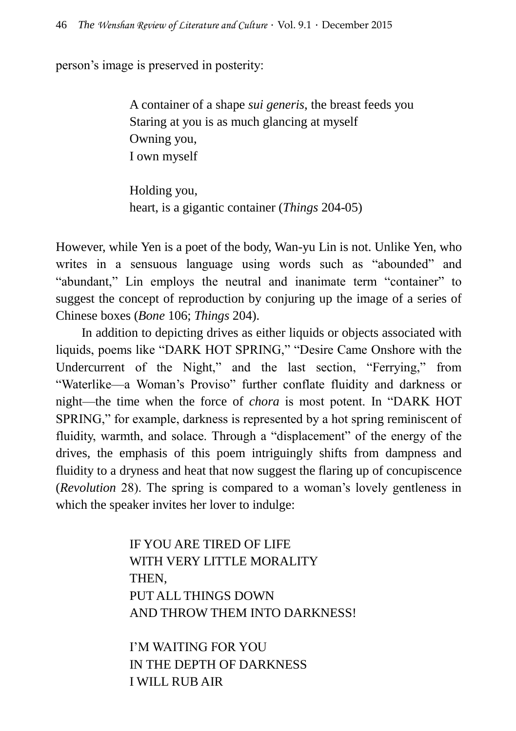person's image is preserved in posterity:

A container of a shape *sui generis*, the breast feeds you Staring at you is as much glancing at myself Owning you, I own myself

Holding you, heart, is a gigantic container (*Things* 204-05)

However, while Yen is a poet of the body, Wan-yu Lin is not. Unlike Yen, who writes in a sensuous language using words such as "abounded" and "abundant," Lin employs the neutral and inanimate term "container" to suggest the concept of reproduction by conjuring up the image of a series of Chinese boxes (*Bone* 106; *Things* 204).

In addition to depicting drives as either liquids or objects associated with liquids, poems like "DARK HOT SPRING," "Desire Came Onshore with the Undercurrent of the Night," and the last section, "Ferrying," from "Waterlike—a Woman's Proviso" further conflate fluidity and darkness or night—the time when the force of *chora* is most potent. In "DARK HOT SPRING," for example, darkness is represented by a hot spring reminiscent of fluidity, warmth, and solace. Through a "displacement" of the energy of the drives, the emphasis of this poem intriguingly shifts from dampness and fluidity to a dryness and heat that now suggest the flaring up of concupiscence (*Revolution* 28). The spring is compared to a woman's lovely gentleness in which the speaker invites her lover to indulge:

> IF YOU ARE TIRED OF LIFE WITH VERY LITTLE MORALITY THEN, PUT ALL THINGS DOWN AND THROW THEM INTO DARKNESS!

I'M WAITING FOR YOU IN THE DEPTH OF DARKNESS I WILL RUB AIR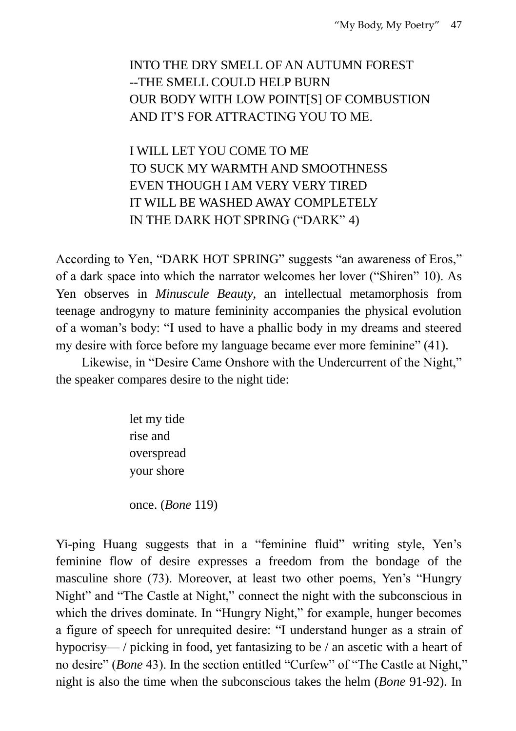# INTO THE DRY SMELL OF AN AUTUMN FOREST --THE SMELL COULD HELP BURN OUR BODY WITH LOW POINT[S] OF COMBUSTION AND IT'S FOR ATTRACTING YOU TO ME.

I WILL LET YOU COME TO ME TO SUCK MY WARMTH AND SMOOTHNESS EVEN THOUGH I AM VERY VERY TIRED IT WILL BE WASHED AWAY COMPLETELY IN THE DARK HOT SPRING ("DARK" 4)

According to Yen, "DARK HOT SPRING" suggests "an awareness of Eros," of a dark space into which the narrator welcomes her lover ("Shiren" 10). As Yen observes in *Minuscule Beauty*, an intellectual metamorphosis from teenage androgyny to mature femininity accompanies the physical evolution of a woman's body: "I used to have a phallic body in my dreams and steered my desire with force before my language became ever more feminine" (41).

Likewise, in "Desire Came Onshore with the Undercurrent of the Night," the speaker compares desire to the night tide:

> let my tide rise and overspread your shore

once. (*Bone* 119)

Yi-ping Huang suggests that in a "feminine fluid" writing style, Yen's feminine flow of desire expresses a freedom from the bondage of the masculine shore (73). Moreover, at least two other poems, Yen's "Hungry Night" and "The Castle at Night," connect the night with the subconscious in which the drives dominate. In "Hungry Night," for example, hunger becomes a figure of speech for unrequited desire: "I understand hunger as a strain of hypocrisy— / picking in food, yet fantasizing to be / an ascetic with a heart of no desire" (*Bone* 43). In the section entitled "Curfew" of "The Castle at Night," night is also the time when the subconscious takes the helm (*Bone* 91-92). In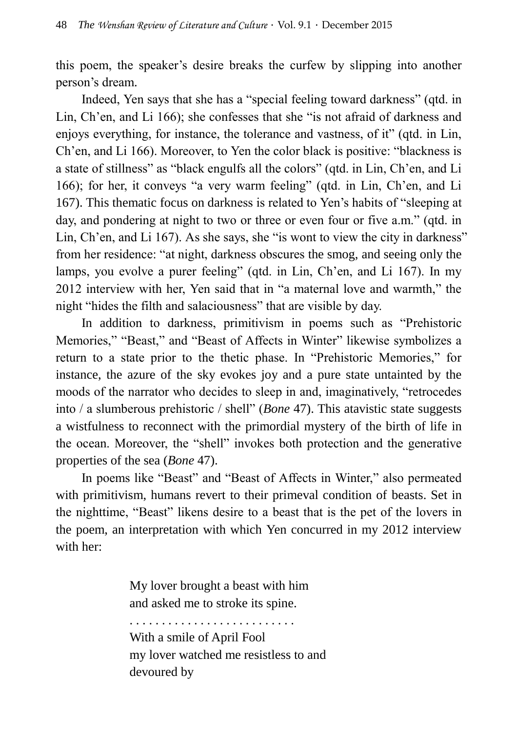this poem, the speaker's desire breaks the curfew by slipping into another person's dream.

Indeed, Yen says that she has a "special feeling toward darkness" (qtd. in Lin, Ch'en, and Li 166); she confesses that she "is not afraid of darkness and enjoys everything, for instance, the tolerance and vastness, of it" (qtd. in Lin, Ch'en, and Li 166). Moreover, to Yen the color black is positive: "blackness is a state of stillness" as "black engulfs all the colors" (qtd. in Lin, Ch'en, and Li 166); for her, it conveys "a very warm feeling" (qtd. in Lin, Ch'en, and Li 167). This thematic focus on darkness is related to Yen's habits of "sleeping at day, and pondering at night to two or three or even four or five a.m." (qtd. in Lin, Ch'en, and Li 167). As she says, she "is wont to view the city in darkness" from her residence: "at night, darkness obscures the smog, and seeing only the lamps, you evolve a purer feeling" (qtd. in Lin, Ch'en, and Li 167). In my 2012 interview with her, Yen said that in "a maternal love and warmth," the night "hides the filth and salaciousness" that are visible by day.

In addition to darkness, primitivism in poems such as "Prehistoric Memories," "Beast," and "Beast of Affects in Winter" likewise symbolizes a return to a state prior to the thetic phase. In "Prehistoric Memories," for instance, the azure of the sky evokes joy and a pure state untainted by the moods of the narrator who decides to sleep in and, imaginatively, "retrocedes into / a slumberous prehistoric / shell" (*Bone* 47). This atavistic state suggests a wistfulness to reconnect with the primordial mystery of the birth of life in the ocean. Moreover, the "shell" invokes both protection and the generative properties of the sea (*Bone* 47).

In poems like "Beast" and "Beast of Affects in Winter," also permeated with primitivism, humans revert to their primeval condition of beasts. Set in the nighttime, "Beast" likens desire to a beast that is the pet of the lovers in the poem, an interpretation with which Yen concurred in my 2012 interview with her:

> My lover brought a beast with him and asked me to stroke its spine.

. . . . . . . . . . . . . . . . . . . . . . . . . .

With a smile of April Fool my lover watched me resistless to and devoured by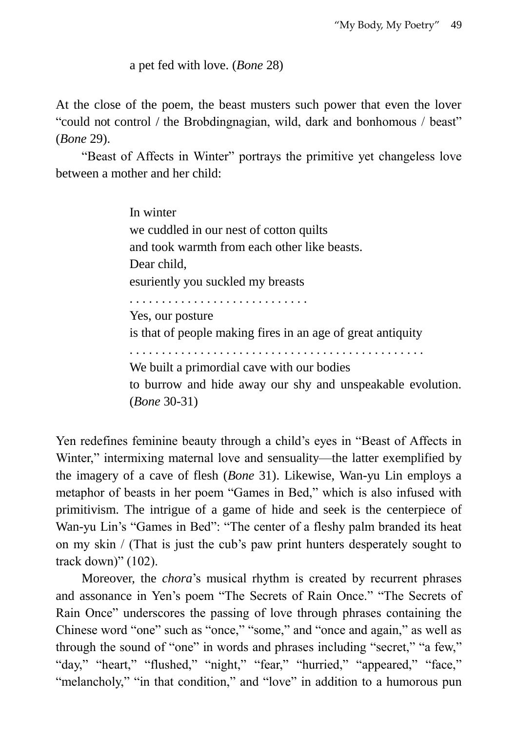a pet fed with love. (*Bone* 28)

At the close of the poem, the beast musters such power that even the lover "could not control / the Brobdingnagian, wild, dark and bonhomous / beast" (*Bone* 29).

"Beast of Affects in Winter" portrays the primitive yet changeless love between a mother and her child:

> In winter we cuddled in our nest of cotton quilts and took warmth from each other like beasts. Dear child, esuriently you suckled my breasts . . . . . . . . . . . . . . . . . . . . . . . . . . . . Yes, our posture is that of people making fires in an age of great antiquity . . . . . . . . . . . . . . . . . . . . . . . . . . . . . . . . . . . . . . . . . . . . . . We built a primordial cave with our bodies to burrow and hide away our shy and unspeakable evolution. (*Bone* 30-31)

Yen redefines feminine beauty through a child's eyes in "Beast of Affects in Winter," intermixing maternal love and sensuality—the latter exemplified by the imagery of a cave of flesh (*Bone* 31). Likewise, Wan-yu Lin employs a metaphor of beasts in her poem "Games in Bed," which is also infused with primitivism. The intrigue of a game of hide and seek is the centerpiece of Wan-yu Lin's "Games in Bed": "The center of a fleshy palm branded its heat on my skin / (That is just the cub's paw print hunters desperately sought to track down)" (102).

Moreover, the *chora*'s musical rhythm is created by recurrent phrases and assonance in Yen's poem "The Secrets of Rain Once." "The Secrets of Rain Once" underscores the passing of love through phrases containing the Chinese word "one" such as "once," "some," and "once and again," as well as through the sound of "one" in words and phrases including "secret," "a few," "day," "heart," "flushed," "night," "fear," "hurried," "appeared," "face," "melancholy," "in that condition," and "love" in addition to a humorous pun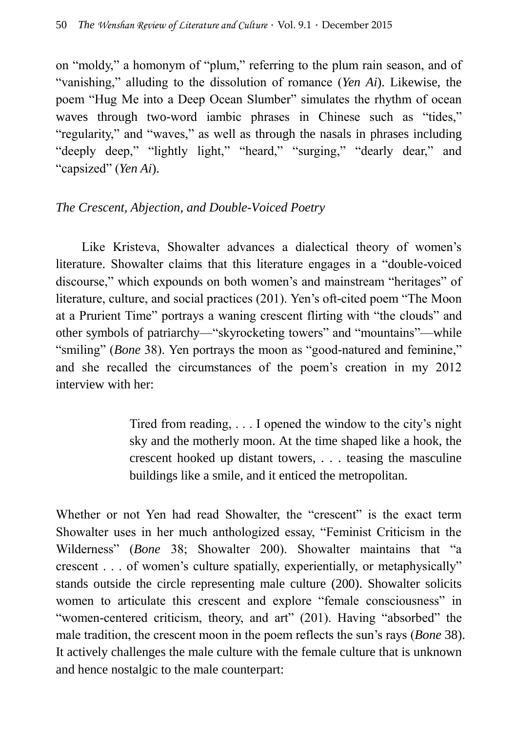on "moldy," a homonym of "plum," referring to the plum rain season, and of "vanishing," alluding to the dissolution of romance (*Yen Ai*). Likewise, the poem "Hug Me into a Deep Ocean Slumber" simulates the rhythm of ocean waves through two-word iambic phrases in Chinese such as "tides," "regularity," and "waves," as well as through the nasals in phrases including "deeply deep," "lightly light," "heard," "surging," "dearly dear," and "capsized" (*Yen Ai*).

# *The Crescent, Abjection, and Double-Voiced Poetry*

Like Kristeva, Showalter advances a dialectical theory of women's literature. Showalter claims that this literature engages in a "double-voiced discourse," which expounds on both women's and mainstream "heritages" of literature, culture, and social practices (201). Yen's oft-cited poem "The Moon at a Prurient Time" portrays a waning crescent flirting with "the clouds" and other symbols of patriarchy—"skyrocketing towers" and "mountains"—while "smiling" (*Bone* 38). Yen portrays the moon as "good-natured and feminine," and she recalled the circumstances of the poem's creation in my 2012 interview with her:

> Tired from reading, . . . I opened the window to the city's night sky and the motherly moon. At the time shaped like a hook, the crescent hooked up distant towers, . . . teasing the masculine buildings like a smile, and it enticed the metropolitan.

Whether or not Yen had read Showalter, the "crescent" is the exact term Showalter uses in her much anthologized essay, "Feminist Criticism in the Wilderness" (*Bone* 38; Showalter 200). Showalter maintains that "a crescent . . . of women's culture spatially, experientially, or metaphysically" stands outside the circle representing male culture (200). Showalter solicits women to articulate this crescent and explore "female consciousness" in "women-centered criticism, theory, and art" (201). Having "absorbed" the male tradition, the crescent moon in the poem reflects the sun's rays (*Bone* 38). It actively challenges the male culture with the female culture that is unknown and hence nostalgic to the male counterpart: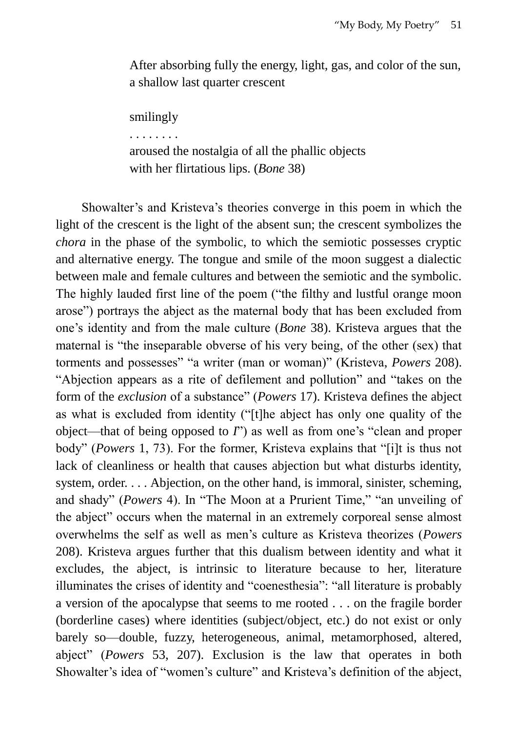After absorbing fully the energy, light, gas, and color of the sun, a shallow last quarter crescent

smilingly

. . . . . . . .

aroused the nostalgia of all the phallic objects with her flirtatious lips. (*Bone* 38)

Showalter's and Kristeva's theories converge in this poem in which the light of the crescent is the light of the absent sun; the crescent symbolizes the *chora* in the phase of the symbolic, to which the semiotic possesses cryptic and alternative energy. The tongue and smile of the moon suggest a dialectic between male and female cultures and between the semiotic and the symbolic. The highly lauded first line of the poem ("the filthy and lustful orange moon arose") portrays the abject as the maternal body that has been excluded from one's identity and from the male culture (*Bone* 38). Kristeva argues that the maternal is "the inseparable obverse of his very being, of the other (sex) that torments and possesses" "a writer (man or woman)" (Kristeva, *Powers* 208). "Abjection appears as a rite of defilement and pollution" and "takes on the form of the *exclusion* of a substance" (*Powers* 17). Kristeva defines the abject as what is excluded from identity ("[t]he abject has only one quality of the object—that of being opposed to *I*") as well as from one's "clean and proper body" (*Powers* 1, 73). For the former, Kristeva explains that "[i]t is thus not lack of cleanliness or health that causes abjection but what disturbs identity, system, order. . . . Abjection, on the other hand, is immoral, sinister, scheming, and shady" (*Powers* 4). In "The Moon at a Prurient Time," "an unveiling of the abject" occurs when the maternal in an extremely corporeal sense almost overwhelms the self as well as men's culture as Kristeva theorizes (*Powers* 208). Kristeva argues further that this dualism between identity and what it excludes, the abject, is intrinsic to literature because to her, literature illuminates the crises of identity and "coenesthesia": "all literature is probably a version of the apocalypse that seems to me rooted . . . on the fragile border (borderline cases) where identities (subject/object, etc.) do not exist or only barely so—double, fuzzy, heterogeneous, animal, metamorphosed, altered, abject" (*Powers* 53, 207). Exclusion is the law that operates in both Showalter's idea of "women's culture" and Kristeva's definition of the abject,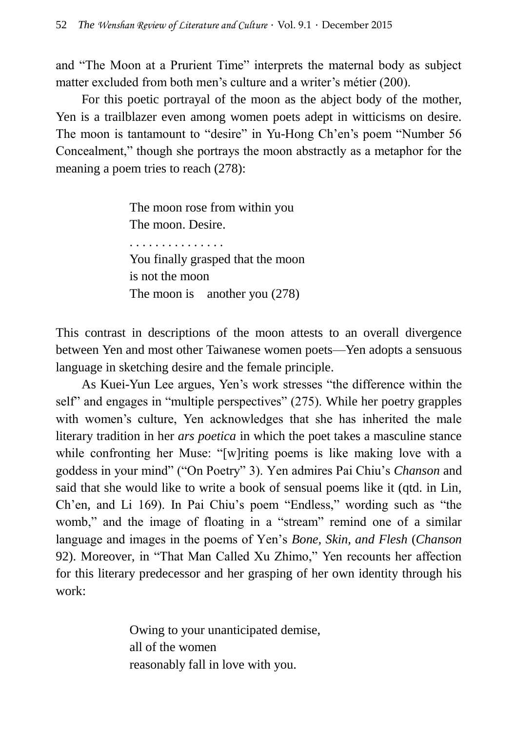and "The Moon at a Prurient Time" interprets the maternal body as subject matter excluded from both men's culture and a writer's métier (200).

For this poetic portrayal of the moon as the abject body of the mother, Yen is a trailblazer even among women poets adept in witticisms on desire. The moon is tantamount to "desire" in Yu-Hong Ch'en's poem "Number 56 Concealment," though she portrays the moon abstractly as a metaphor for the meaning a poem tries to reach (278):

> The moon rose from within you The moon. Desire. . . . . . . . . . . . . . . .

You finally grasped that the moon is not the moon The moon is another you  $(278)$ 

This contrast in descriptions of the moon attests to an overall divergence between Yen and most other Taiwanese women poets—Yen adopts a sensuous language in sketching desire and the female principle.

As Kuei-Yun Lee argues, Yen's work stresses "the difference within the self" and engages in "multiple perspectives" (275). While her poetry grapples with women's culture, Yen acknowledges that she has inherited the male literary tradition in her *ars poetica* in which the poet takes a masculine stance while confronting her Muse: "[w]riting poems is like making love with a goddess in your mind" ("On Poetry" 3). Yen admires Pai Chiu's *Chanson* and said that she would like to write a book of sensual poems like it (qtd. in Lin, Ch'en, and Li 169). In Pai Chiu's poem "Endless," wording such as "the womb," and the image of floating in a "stream" remind one of a similar language and images in the poems of Yen's *Bone, Skin, and Flesh* (*Chanson* 92). Moreover, in "That Man Called Xu Zhimo," Yen recounts her affection for this literary predecessor and her grasping of her own identity through his work:

> Owing to your unanticipated demise, all of the women reasonably fall in love with you.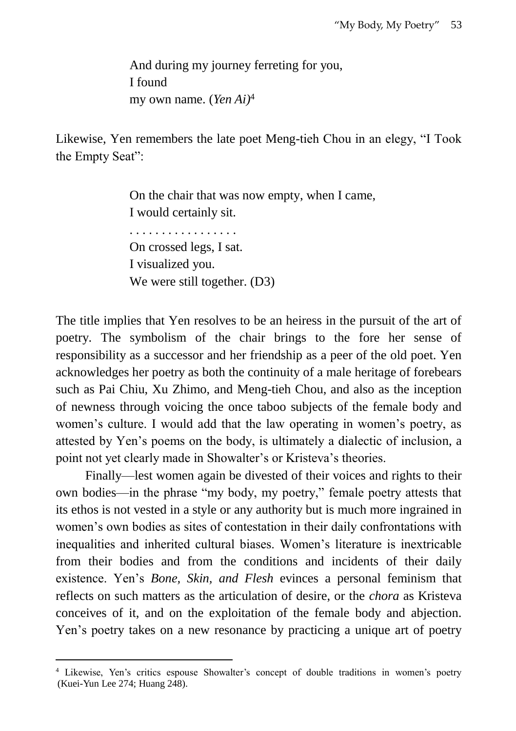And during my journey ferreting for you, I found my own name. (*Yen Ai)*<sup>4</sup>

Likewise, Yen remembers the late poet Meng-tieh Chou in an elegy, "I Took the Empty Seat":

> On the chair that was now empty, when I came, I would certainly sit. . . . . . . . . . . . . . . . . . On crossed legs, I sat. I visualized you. We were still together. (D3)

The title implies that Yen resolves to be an heiress in the pursuit of the art of poetry. The symbolism of the chair brings to the fore her sense of responsibility as a successor and her friendship as a peer of the old poet. Yen acknowledges her poetry as both the continuity of a male heritage of forebears such as Pai Chiu, Xu Zhimo, and Meng-tieh Chou, and also as the inception of newness through voicing the once taboo subjects of the female body and women's culture. I would add that the law operating in women's poetry, as attested by Yen's poems on the body, is ultimately a dialectic of inclusion, a point not yet clearly made in Showalter's or Kristeva's theories.

Finally—lest women again be divested of their voices and rights to their own bodies—in the phrase "my body, my poetry," female poetry attests that its ethos is not vested in a style or any authority but is much more ingrained in women's own bodies as sites of contestation in their daily confrontations with inequalities and inherited cultural biases. Women's literature is inextricable from their bodies and from the conditions and incidents of their daily existence. Yen's *Bone, Skin, and Flesh* evinces a personal feminism that reflects on such matters as the articulation of desire, or the *chora* as Kristeva conceives of it, and on the exploitation of the female body and abjection. Yen's poetry takes on a new resonance by practicing a unique art of poetry

 $\overline{a}$ 

<sup>4</sup> Likewise, Yen's critics espouse Showalter's concept of double traditions in women's poetry (Kuei-Yun Lee 274; Huang 248).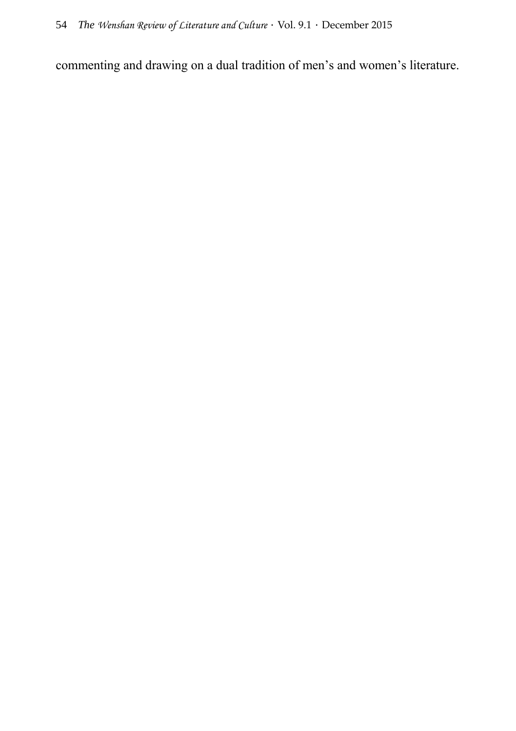commenting and drawing on a dual tradition of men's and women's literature.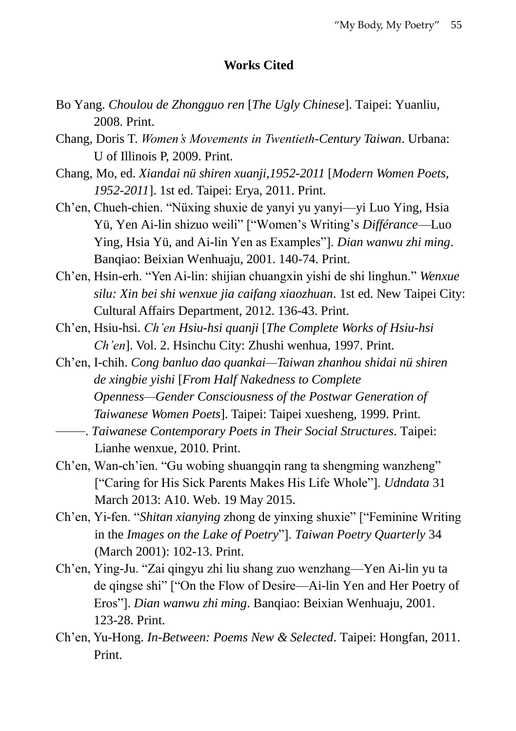## **Works Cited**

- Bo Yang. *Choulou de Zhongguo ren* [*The Ugly Chinese*]. Taipei: Yuanliu, 2008. Print.
- Chang, Doris T. *Women's Movements in Twentieth-Century Taiwan*. Urbana: U of Illinois P, 2009. Print.
- Chang, Mo, ed. *Xiandai nü shiren xuanji,1952-2011* [*Modern Women Poets, 1952-2011*]. 1st ed. Taipei: Erya, 2011. Print.
- Ch'en, Chueh-chien. "Nüxing shuxie de yanyi yu yanyi—yi Luo Ying, Hsia Yü, Yen Ai-lin shizuo weili" ["Women's Writing's *Différance*—Luo Ying, Hsia Yü, and Ai-lin Yen as Examples"]. *Dian wanwu zhi ming*. Banqiao: Beixian Wenhuaju, 2001. 140-74. Print.
- Ch'en, Hsin-erh. "Yen Ai-lin: shijian chuangxin yishi de shi linghun." *Wenxue silu: Xin bei shi wenxue jia caifang xiaozhuan*. 1st ed. New Taipei City: Cultural Affairs Department, 2012. 136-43. Print.
- Ch'en, Hsiu-hsi. *Ch'en Hsiu-hsi quanji* [*The Complete Works of Hsiu-hsi Ch'en*]. Vol. 2. Hsinchu City: Zhushi wenhua, 1997. Print.
- Ch'en, I-chih. *Cong banluo dao quankai—Taiwan zhanhou shidai nü shiren de xingbie yishi* [*From Half Nakedness to Complete Openness—Gender Consciousness of the Postwar Generation of Taiwanese Women Poets*]. Taipei: Taipei xuesheng, 1999. Print.
- ——. *Taiwanese Contemporary Poets in Their Social Structures*. Taipei: Lianhe wenxue, 2010. Print.
- Ch'en, Wan-ch'ien. "Gu wobing shuangqin rang ta shengming wanzheng" ["Caring for His Sick Parents Makes His Life Whole"]. *Udndata* 31 March 2013: A10. Web. 19 May 2015.
- Ch'en, Yi-fen. "*Shitan xianying* zhong de yinxing shuxie" ["Feminine Writing in the *Images on the Lake of Poetry*"]. *Taiwan Poetry Quarterly* 34 (March 2001): 102-13. Print.
- Ch'en, Ying-Ju. "Zai qingyu zhi liu shang zuo wenzhang—Yen Ai-lin yu ta de qingse shi" ["On the Flow of Desire—Ai-lin Yen and Her Poetry of Eros"]. *Dian wanwu zhi ming*. Banqiao: Beixian Wenhuaju, 2001. 123-28. Print.
- Ch'en, Yu-Hong. *In-Between: Poems New & Selected*. Taipei: Hongfan, 2011. Print.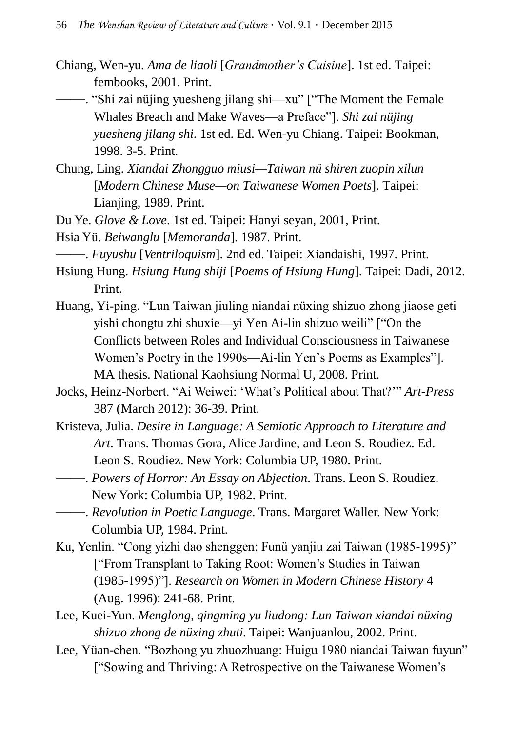- Chiang, Wen-yu. *Ama de liaoli* [*Grandmother's Cuisine*]. 1st ed. Taipei: fembooks, 2001. Print.
- ——. "Shi zai nüjing yuesheng jilang shi—xu" ["The Moment the Female Whales Breach and Make Waves—a Preface"]. *Shi zai nüjing yuesheng jilang shi*. 1st ed. Ed. Wen-yu Chiang. Taipei: Bookman, 1998. 3-5. Print.
- Chung, Ling. *Xiandai Zhongguo miusi—Taiwan nü shiren zuopin xilun* [*Modern Chinese Muse—on Taiwanese Women Poets*]. Taipei: Lianjing, 1989. Print.
- Du Ye. *Glove & Love*. 1st ed. Taipei: Hanyi seyan, 2001, Print.
- Hsia Yü. *Beiwanglu* [*Memoranda*]. 1987. Print.
- ——. *Fuyushu* [*Ventriloquism*]. 2nd ed. Taipei: Xiandaishi, 1997. Print.
- Hsiung Hung. *Hsiung Hung shiji* [*Poems of Hsiung Hung*]. Taipei: Dadi, 2012. Print.
- Huang, Yi-ping. "Lun Taiwan jiuling niandai nüxing shizuo zhong jiaose geti yishi chongtu zhi shuxie—yi Yen Ai-lin shizuo weili" ["On the Conflicts between Roles and Individual Consciousness in Taiwanese Women's Poetry in the 1990s—Ai-lin Yen's Poems as Examples"]. MA thesis. National Kaohsiung Normal U, 2008. Print.
- Jocks, Heinz-Norbert. "Ai Weiwei: 'What's Political about That?'" *Art-Press* 387 (March 2012): 36-39. Print.
- Kristeva, Julia. *Desire in Language: A Semiotic Approach to Literature and Art*. Trans. Thomas Gora, Alice Jardine, and Leon S. Roudiez. Ed. Leon S. Roudiez. New York: Columbia UP, 1980. Print.
- ——. *Powers of Horror: An Essay on Abjection*. Trans. Leon S. Roudiez. New York: Columbia UP, 1982. Print.
- ——. *Revolution in Poetic Language*. Trans. Margaret Waller. New York: Columbia UP, 1984. Print.
- Ku, Yenlin. "Cong yizhi dao shenggen: Funü yanjiu zai Taiwan (1985-1995)" ["From Transplant to Taking Root: Women's Studies in Taiwan (1985-1995)"]. *Research on Women in Modern Chinese History* 4 (Aug. 1996): 241-68. Print.
- Lee, Kuei-Yun. *Menglong, qingming yu liudong: Lun Taiwan xiandai nüxing shizuo zhong de nüxing zhuti*. Taipei: Wanjuanlou, 2002. Print.
- Lee, Yüan-chen. "Bozhong yu zhuozhuang: Huigu 1980 niandai Taiwan fuyun" ["Sowing and Thriving: A Retrospective on the Taiwanese Women's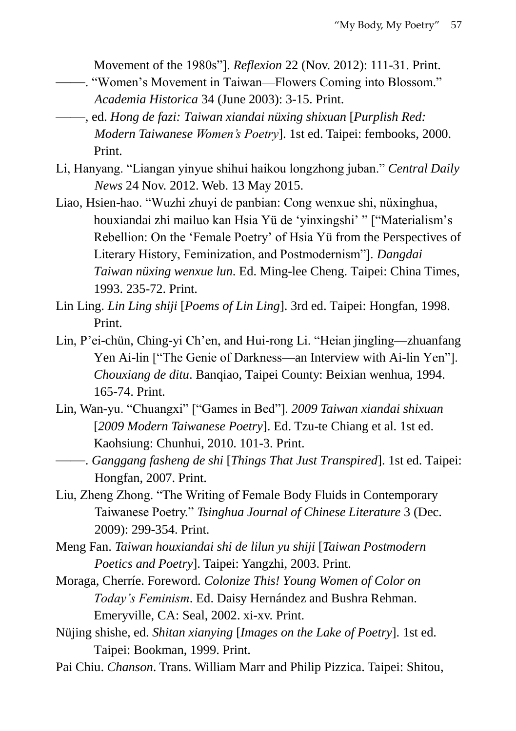Movement of the 1980s"]. *Reflexion* 22 (Nov. 2012): 111-31. Print.

- ——. "Women's Movement in Taiwan—Flowers Coming into Blossom." *Academia Historica* 34 (June 2003): 3-15. Print.
- ——, ed. *Hong de fazi: Taiwan xiandai nüxing shixuan* [*Purplish Red: Modern Taiwanese Women's Poetry*]. 1st ed. Taipei: fembooks, 2000. Print.
- Li, Hanyang. "Liangan yinyue shihui haikou longzhong juban." *Central Daily News* 24 Nov. 2012. Web. 13 May 2015.
- Liao, Hsien-hao. "Wuzhi zhuyi de panbian: Cong wenxue shi, nüxinghua, houxiandai zhi mailuo kan Hsia Yü de 'yinxingshi' " ["Materialism's Rebellion: On the 'Female Poetry' of Hsia Yü from the Perspectives of Literary History, Feminization, and Postmodernism"]. *Dangdai Taiwan nüxing wenxue lun*. Ed. Ming-lee Cheng. Taipei: China Times, 1993. 235-72. Print.
- Lin Ling. *Lin Ling shiji* [*Poems of Lin Ling*]. 3rd ed. Taipei: Hongfan, 1998. Print.
- Lin, P'ei-chün, Ching-yi Ch'en, and Hui-rong Li. "Heian jingling—zhuanfang Yen Ai-lin ["The Genie of Darkness—an Interview with Ai-lin Yen"]. *Chouxiang de ditu*. Banqiao, Taipei County: Beixian wenhua, 1994. 165-74. Print.
- Lin, Wan-yu. "Chuangxi" ["Games in Bed"]. *2009 Taiwan xiandai shixuan* [*2009 Modern Taiwanese Poetry*]. Ed. Tzu-te Chiang et al. 1st ed. Kaohsiung: Chunhui, 2010. 101-3. Print.
- ——. *Ganggang fasheng de shi* [*Things That Just Transpired*]. 1st ed. Taipei: Hongfan, 2007. Print.
- Liu, Zheng Zhong. "The Writing of Female Body Fluids in Contemporary Taiwanese Poetry." *Tsinghua Journal of Chinese Literature* 3 (Dec. 2009): 299-354. Print.
- Meng Fan. *Taiwan houxiandai shi de lilun yu shiji* [*Taiwan Postmodern Poetics and Poetry*]. Taipei: Yangzhi, 2003. Print.
- Moraga, Cherríe. Foreword. *Colonize This! Young Women of Color on Today's Feminism*. Ed. Daisy Hernández and Bushra Rehman. Emeryville, CA: Seal, 2002. xi-xv. Print.
- Nüjing shishe, ed. *Shitan xianying* [*Images on the Lake of Poetry*]. 1st ed. Taipei: Bookman, 1999. Print.
- Pai Chiu. *Chanson*. Trans. William Marr and Philip Pizzica. Taipei: Shitou,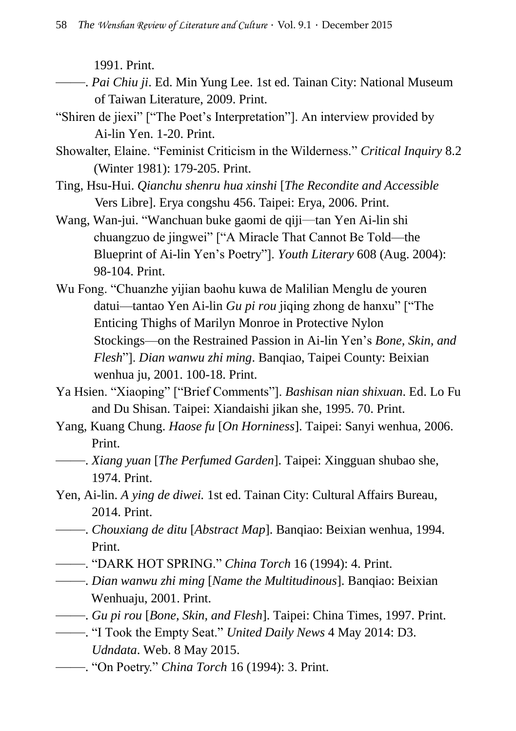1991. Print.

- ——. *Pai Chiu ji*. Ed. Min Yung Lee. 1st ed. Tainan City: National Museum of Taiwan Literature, 2009. Print.
- "Shiren de jiexi" ["The Poet's Interpretation"]. An interview provided by Ai-lin Yen. 1-20. Print.
- Showalter, Elaine. "Feminist Criticism in the Wilderness." *Critical Inquiry* 8.2 (Winter 1981): 179-205. Print.
- Ting, Hsu-Hui. *Qianchu shenru hua xinshi* [*The Recondite and Accessible*  Vers Libre]. Erya congshu 456. Taipei: Erya, 2006. Print.
- Wang, Wan-jui. "Wanchuan buke gaomi de qiji—tan Yen Ai-lin shi chuangzuo de jingwei" ["A Miracle That Cannot Be Told—the Blueprint of Ai-lin Yen's Poetry"]. *Youth Literary* 608 (Aug. 2004): 98-104. Print.
- Wu Fong. "Chuanzhe yijian baohu kuwa de Malilian Menglu de youren datui—tantao Yen Ai-lin *Gu pi rou* jiqing zhong de hanxu" ["The Enticing Thighs of Marilyn Monroe in Protective Nylon Stockings—on the Restrained Passion in Ai-lin Yen's *Bone, Skin, and Flesh*"]. *Dian wanwu zhi ming*. Banqiao, Taipei County: Beixian wenhua ju, 2001. 100-18. Print.
- Ya Hsien. "Xiaoping" ["Brief Comments"]. *Bashisan nian shixuan*. Ed. Lo Fu and Du Shisan. Taipei: Xiandaishi jikan she, 1995. 70. Print.
- Yang, Kuang Chung. *Haose fu* [*On Horniness*]. Taipei: Sanyi wenhua, 2006. Print.
- ——. *Xiang yuan* [*The Perfumed Garden*]. Taipei: Xingguan shubao she, 1974. Print.
- Yen, Ai-lin. *A ying de diwei.* 1st ed. Tainan City: Cultural Affairs Bureau, 2014. Print.
- ——. *Chouxiang de ditu* [*Abstract Map*]. Banqiao: Beixian wenhua, 1994. Print.
- ——. "DARK HOT SPRING." *China Torch* 16 (1994): 4. Print.
- ——. *Dian wanwu zhi ming* [*Name the Multitudinous*]. Banqiao: Beixian Wenhuaju, 2001. Print.
- ——. *Gu pi rou* [*Bone, Skin, and Flesh*]. Taipei: China Times, 1997. Print.
- ——. "I Took the Empty Seat." *United Daily News* 4 May 2014: D3. *Udndata*. Web. 8 May 2015.
- ——. "On Poetry." *China Torch* 16 (1994): 3. Print.